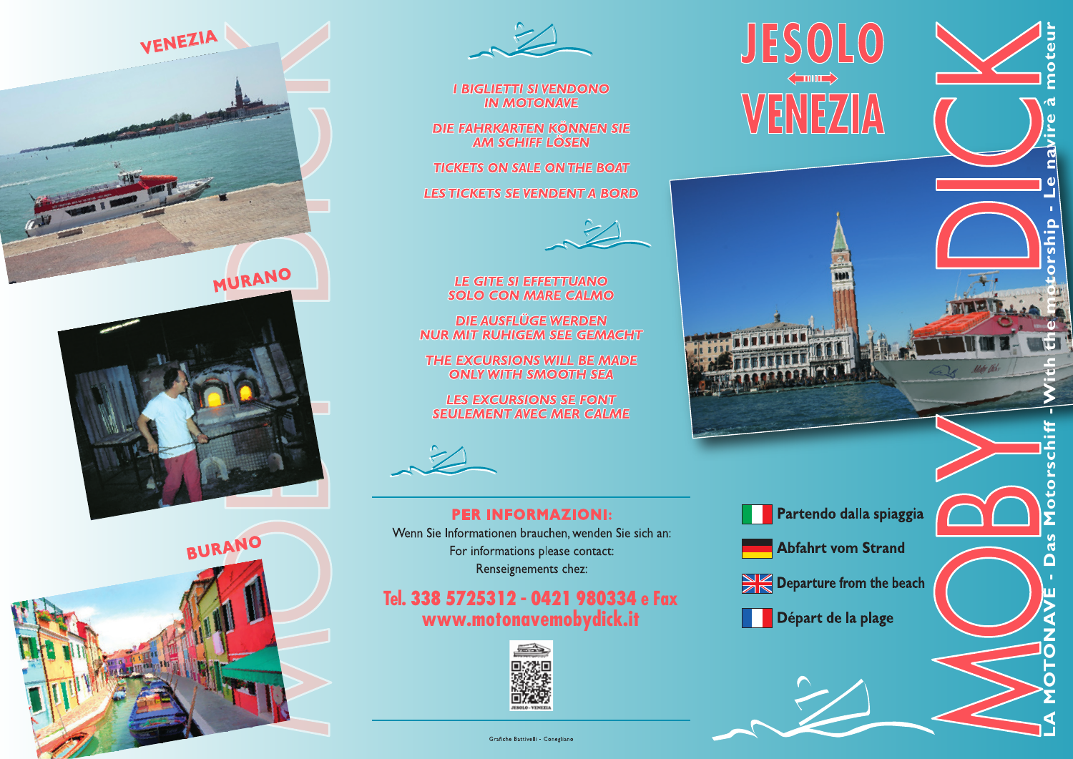







## **I BIGLIETTI SI VENDONO IN MOTONAVE**

DIE FAHRKARTEN KÖNNEN SIE AM SCHIFF LÖSEN

**TICKETS ON SALE ON THE BOAT** 

**LES TICKETS SE VENDENT A BORD** 



**LE GITE SI EFFETTUANO SOLO CON MARE CALMO** 

**DIE AUSFLÜGE WERDEN NUR MIT RUHIGEM SEE GEMACHT** 

THE EXCURSIONS WILL BE MADE **ONLY WITH SMOOTH SEA** 

**LES EXCURSIONS SE FONT SEULEMENT AVEC MER CALME** 

## **PER INFORMAZIONI:** Wenn Sie Informationen brauchen, wenden Sie sich an: For informations please contact:

Renseignements chez:

## Tel. 338 5725312 - 0421 980334 e Fax www.motonavemobydick.it



**JESOLO** 

 $\left\langle \equiv$  and  $\equiv$ 

 $\circ$ 

rshij

Ιò<br>Σ

**i** 

 $\overline{\mathbf{a}}$ 

Matr Did



Partendo dalla spiaggia

**Abfahrt vom Strand** 



Départ de la plage

Grafiche Battivelli - Conegliano